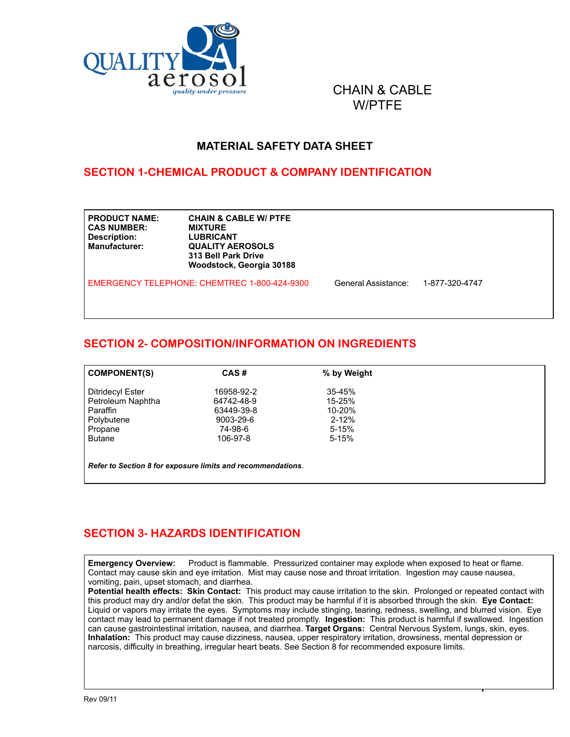

CHAIN & CABLE W/PTFE

#### **MATERIAL SAFETY DATA SHEET**

#### **SECTION 1-CHEMICAL PRODUCT & COMPANY IDENTIFICATION**

| <b>PRODUCT NAME:</b><br><b>CAS NUMBER:</b><br><b>Description:</b><br>Manufacturer: | <b>CHAIN &amp; CABLE W/ PTFE</b><br><b>MIXTURE</b><br><b>LUBRICANT</b><br><b>QUALITY AEROSOLS</b><br>313 Bell Park Drive<br>Woodstock, Georgia 30188 |                     |                |  |
|------------------------------------------------------------------------------------|------------------------------------------------------------------------------------------------------------------------------------------------------|---------------------|----------------|--|
|                                                                                    | EMERGENCY TELEPHONE: CHEMTREC 1-800-424-9300                                                                                                         | General Assistance: | 1-877-320-4747 |  |

# **SECTION 2- COMPOSITION/INFORMATION ON INGREDIENTS**

| <b>COMPONENT(S)</b>                                         | CAS#       | % by Weight |  |  |
|-------------------------------------------------------------|------------|-------------|--|--|
| <b>Ditridecyl Ester</b>                                     | 16958-92-2 | $35 - 45%$  |  |  |
| Petroleum Naphtha                                           | 64742-48-9 | $15 - 25%$  |  |  |
| Paraffin                                                    | 63449-39-8 | 10-20%      |  |  |
| Polybutene                                                  | 9003-29-6  | $2 - 12%$   |  |  |
| Propane                                                     | 74-98-6    | $5 - 15%$   |  |  |
| <b>Butane</b>                                               | 106-97-8   | $5 - 15%$   |  |  |
|                                                             |            |             |  |  |
| Refer to Section 8 for exposure limits and recommendations. |            |             |  |  |

# **SECTION 3- HAZARDS IDENTIFICATION**

**Emergency Overview:** Product is flammable. Pressurized container may explode when exposed to heat or flame. Contact may cause skin and eye irritation. Mist may cause nose and throat irritation. Ingestion may cause nausea, vomiting, pain, upset stomach, and diarrhea.

**Potential health effects: Skin Contact:** This product may cause irritation to the skin. Prolonged or repeated contact with this product may dry and/or defat the skin. This product may be harmful if it is absorbed through the skin. **Eye Contact:**  Liquid or vapors may irritate the eyes. Symptoms may include stinging, tearing, redness, swelling, and blurred vision. Eye contact may lead to permanent damage if not treated promptly. **Ingestion:** This product is harmful if swallowed. Ingestion can cause gastrointestinal irritation, nausea, and diarrhea. **Target Organs:** Central Nervous System, lungs, skin, eyes. **Inhalation:** This product may cause dizziness, nausea, upper respiratory irritation, drowsiness, mental depression or narcosis, difficulty in breathing, irregular heart beats. See Section 8 for recommended exposure limits.

 $\mathbf{r}$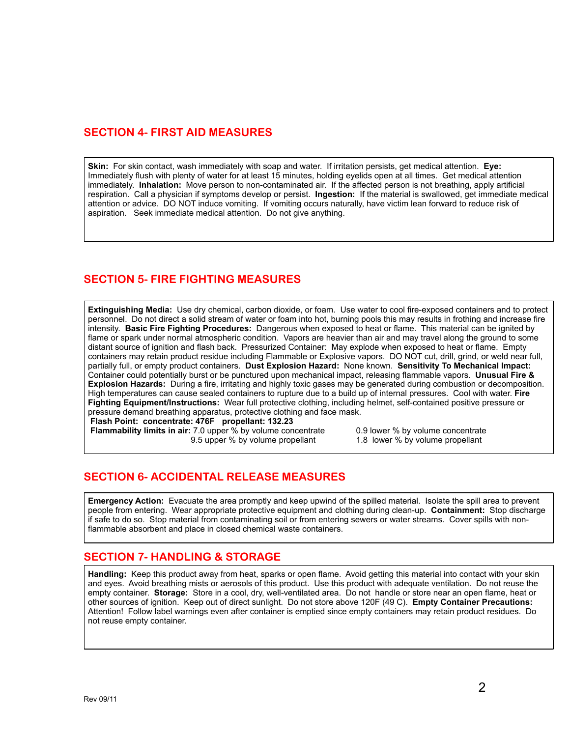## **SECTION 4- FIRST AID MEASURES**

**Skin:** For skin contact, wash immediately with soap and water. If irritation persists, get medical attention. **Eye:** Immediately flush with plenty of water for at least 15 minutes, holding eyelids open at all times. Get medical attention immediately. **Inhalation:** Move person to non-contaminated air. If the affected person is not breathing, apply artificial respiration. Call a physician if symptoms develop or persist. **Ingestion:** If the material is swallowed, get immediate medical attention or advice. DO NOT induce vomiting. If vomiting occurs naturally, have victim lean forward to reduce risk of aspiration. Seek immediate medical attention. Do not give anything.

## **SECTION 5- FIRE FIGHTING MEASURES**

**Extinguishing Media:** Use dry chemical, carbon dioxide, or foam. Use water to cool fire-exposed containers and to protect personnel. Do not direct a solid stream of water or foam into hot, burning pools this may results in frothing and increase fire intensity. **Basic Fire Fighting Procedures:** Dangerous when exposed to heat or flame. This material can be ignited by flame or spark under normal atmospheric condition. Vapors are heavier than air and may travel along the ground to some distant source of ignition and flash back. Pressurized Container: May explode when exposed to heat or flame. Empty containers may retain product residue including Flammable or Explosive vapors. DO NOT cut, drill, grind, or weld near full, partially full, or empty product containers. **Dust Explosion Hazard:** None known. **Sensitivity To Mechanical Impact:**  Container could potentially burst or be punctured upon mechanical impact, releasing flammable vapors. **Unusual Fire & Explosion Hazards:** During a fire, irritating and highly toxic gases may be generated during combustion or decomposition. High temperatures can cause sealed containers to rupture due to a build up of internal pressures. Cool with water. **Fire Fighting Equipment/Instructions:** Wear full protective clothing, including helmet, self-contained positive pressure or pressure demand breathing apparatus, protective clothing and face mask. **Flash Point: concentrate: 476F propellant: 132.23**

**Flammability limits in air:** 7.0 upper % by volume concentrate 0.9 lower % by volume concentrate 9.5 upper % by volume propellant 1.8 lower % by volume propellant 9.5 upper % by volume propellant

#### **SECTION 6- ACCIDENTAL RELEASE MEASURES**

**Emergency Action:** Evacuate the area promptly and keep upwind of the spilled material. Isolate the spill area to prevent people from entering. Wear appropriate protective equipment and clothing during clean-up. **Containment:** Stop discharge if safe to do so. Stop material from contaminating soil or from entering sewers or water streams. Cover spills with nonflammable absorbent and place in closed chemical waste containers.

#### **SECTION 7- HANDLING & STORAGE**

**Handling:** Keep this product away from heat, sparks or open flame. Avoid getting this material into contact with your skin and eyes. Avoid breathing mists or aerosols of this product. Use this product with adequate ventilation. Do not reuse the empty container. **Storage:** Store in a cool, dry, well-ventilated area. Do not handle or store near an open flame, heat or other sources of ignition. Keep out of direct sunlight. Do not store above 120F (49 C). **Empty Container Precautions:**  Attention! Follow label warnings even after container is emptied since empty containers may retain product residues. Do not reuse empty container.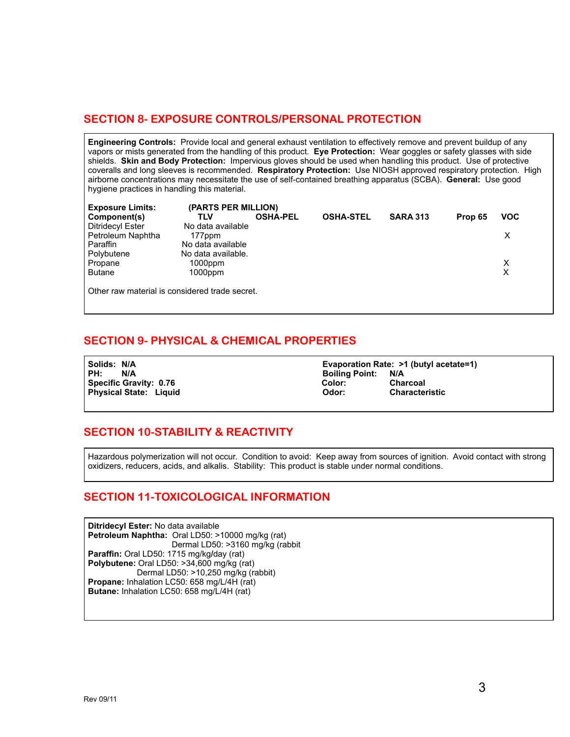## **SECTION 8- EXPOSURE CONTROLS/PERSONAL PROTECTION**

**Engineering Controls:** Provide local and general exhaust ventilation to effectively remove and prevent buildup of any vapors or mists generated from the handling of this product. **Eye Protection:** Wear goggles or safety glasses with side shields. **Skin and Body Protection:** Impervious gloves should be used when handling this product. Use of protective coveralls and long sleeves is recommended. **Respiratory Protection:** Use NIOSH approved respiratory protection. High airborne concentrations may necessitate the use of self-contained breathing apparatus (SCBA). **General:** Use good hygiene practices in handling this material.

| <b>Exposure Limits:</b>                        | (PARTS PER MILLION) |                 |                  |                 |         |            |
|------------------------------------------------|---------------------|-----------------|------------------|-----------------|---------|------------|
| Component(s)                                   | TLV                 | <b>OSHA-PEL</b> | <b>OSHA-STEL</b> | <b>SARA 313</b> | Prop 65 | <b>VOC</b> |
| <b>Ditridecyl Ester</b>                        | No data available   |                 |                  |                 |         |            |
| Petroleum Naphtha                              | 177ppm              |                 |                  |                 |         | х          |
| Paraffin                                       | No data available   |                 |                  |                 |         |            |
| Polybutene                                     | No data available.  |                 |                  |                 |         |            |
| Propane                                        | $1000$ ppm          |                 |                  |                 |         | х          |
| <b>Butane</b>                                  | $1000$ ppm          |                 |                  |                 |         | Χ          |
| Other raw material is considered trade secret. |                     |                 |                  |                 |         |            |

#### **SECTION 9- PHYSICAL & CHEMICAL PROPERTIES**

**PH: N/A** Boiling Point: **Physical State: Liquid** 

Solids: N/A **Evaporation Rate: >1 (butyl acetate=1)**<br>PH: N/A **Example Relation Rate: N/A** Specific Gravity: 0.76 **Color:** Color: Color: Charcoal Color: Charcoal Color: Charcoal Charcoal Characteristic<br>Physical State: Liquid Characteristic

#### **SECTION 10-STABILITY & REACTIVITY**

Hazardous polymerization will not occur. Condition to avoid: Keep away from sources of ignition. Avoid contact with strong oxidizers, reducers, acids, and alkalis. Stability: This product is stable under normal conditions.

#### **SECTION 11-TOXICOLOGICAL INFORMATION**

**Ditridecyl Ester:** No data available **Petroleum Naphtha:** Oral LD50: >10000 mg/kg (rat) Dermal LD50: >3160 mg/kg (rabbit **Paraffin:** Oral LD50: 1715 mg/kg**/**day (rat) **Polybutene:** Oral LD50: >34,600 mg/kg (rat) Dermal LD50: >10,250 mg/kg (rabbit) **Propane:** Inhalation LC50: 658 mg/L/4H (rat) **Butane:** Inhalation LC50: 658 mg/L/4H (rat)